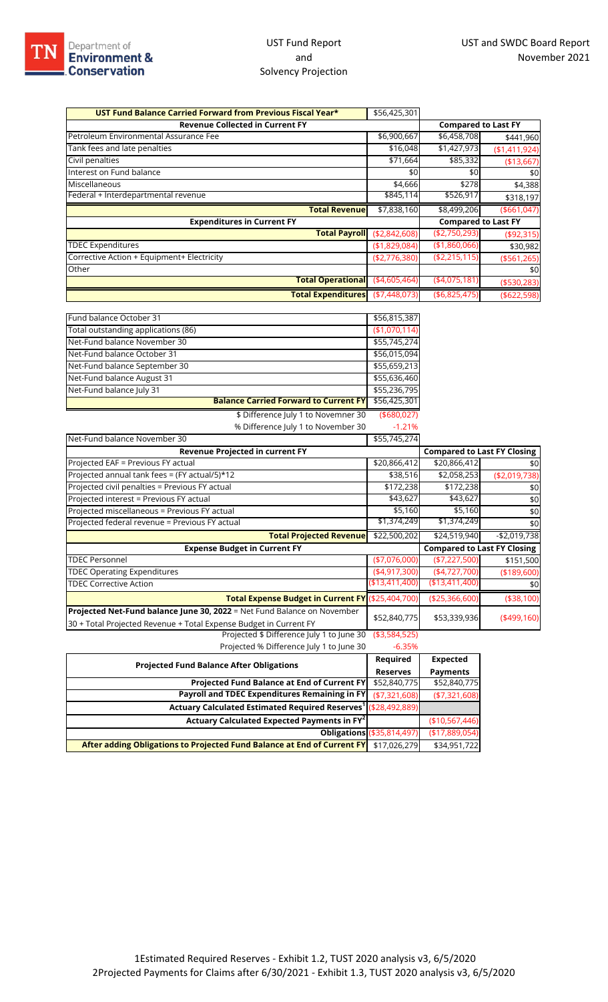| UST Fund Balance Carried Forward from Previous Fiscal Year*             | \$56,425,301    |                                    |                |
|-------------------------------------------------------------------------|-----------------|------------------------------------|----------------|
| <b>Revenue Collected in Current FY</b>                                  |                 | <b>Compared to Last FY</b>         |                |
| Petroleum Environmental Assurance Fee                                   | \$6,900,667     | \$6,458,708                        | \$441,960      |
| Tank fees and late penalties                                            | \$16,048        | \$1,427,973                        | (\$1,411,924)  |
| Civil penalties                                                         | \$71,664        | \$85,332                           | (\$13,667)     |
| Interest on Fund balance                                                | \$0             | \$0                                | \$0            |
| Miscellaneous                                                           | \$4,666         | \$278                              | \$4,388        |
| Federal + Interdepartmental revenue                                     | \$845,114       | \$526,917                          | \$318,197      |
| <b>Total Revenue</b>                                                    | \$7,838,160     | \$8,499,206                        | ( \$661, 047]  |
| <b>Expenditures in Current FY</b>                                       |                 | <b>Compared to Last FY</b>         |                |
| Total Payroll (\$2,842,608)                                             |                 | (\$2,750,293)                      | (\$92,315)     |
| <b>TDEC Expenditures</b>                                                | (\$1,829,084)   | (\$1,860,066)                      | \$30,982       |
| Corrective Action + Equipment+ Electricity                              | (\$2,776,380)   | (\$2,215,115)                      | ( \$561, 265)  |
| Other                                                                   |                 |                                    | \$0            |
| Total Operational (\$4,605,464)                                         |                 | (4,075,181)                        | ( \$530, 283)  |
| <b>Total Expenditures</b>                                               | ( \$7,448,073)  | (\$6,825,475                       | ( \$622, 598)  |
|                                                                         |                 |                                    |                |
| Fund balance October 31                                                 | \$56,815,387    |                                    |                |
| Total outstanding applications (86)                                     | (\$1,070,114)   |                                    |                |
| Net-Fund balance November 30                                            | \$55,745,274    |                                    |                |
| Net-Fund balance October 31                                             | \$56,015,094    |                                    |                |
| Net-Fund balance September 30                                           | \$55,659,213    |                                    |                |
| Net-Fund balance August 31                                              | \$55,636,460    |                                    |                |
| Net-Fund balance July 31                                                | \$55,236,795    |                                    |                |
| <b>Balance Carried Forward to Current FY</b>                            | \$56,425,301    |                                    |                |
| \$ Difference July 1 to Novemner 30                                     | ( \$680,027)    |                                    |                |
| % Difference July 1 to November 30                                      | $-1.21%$        |                                    |                |
| Net-Fund balance November 30                                            | \$55,745,274    |                                    |                |
| <b>Revenue Projected in current FY</b>                                  |                 | <b>Compared to Last FY Closing</b> |                |
| Projected EAF = Previous FY actual                                      | \$20,866,412    | \$20,866,412                       | \$0            |
| Projected annual tank fees = (FY actual/5)*12                           | \$38,516        | \$2,058,253                        | ( \$2,019,738) |
| Projected civil penalties = Previous FY actual                          | \$172,238       | \$172,238                          | \$0            |
| Projected interest = Previous FY actual                                 | \$43,627        | \$43,627                           | \$0            |
| Projected miscellaneous = Previous FY actual                            | \$5,160         | \$5,160                            | \$0            |
| Projected federal revenue = Previous FY actual                          | \$1,374,249     | \$1,374,249                        | \$0            |
| <b>Total Projected Revenue</b>                                          | \$22,500,202    | \$24,519,940                       | $-$2,019,738$  |
| <b>Expense Budget in Current FY</b>                                     |                 | <b>Compared to Last FY Closing</b> |                |
| <b>TDEC Personnel</b>                                                   | $(*7,076,000)$  | (\$7,227,500)                      | \$151,500      |
| <b>TDEC Operating Expenditures</b>                                      | (4,917,300)     | (4,727,700)                        | (\$189,600)    |
| <b>TDEC Corrective Action</b>                                           | ( \$13,411,400) | ( \$13,411,400)                    | \$0            |
| Total Expense Budget in Current FY (\$25,404,700)                       |                 | $(*25,366,600)$                    | (\$38,100)     |
| Projected Net-Fund balance June 30, 2022 = Net Fund Balance on November | \$52,840,775    | \$53,339,936                       | $(*499,160)$   |
| 30 + Total Projected Revenue + Total Expense Budget in Current FY       |                 |                                    |                |
| Projected \$ Difference July 1 to June 30                               | ( \$3,584,525)  |                                    |                |
| Projected % Difference July 1 to June 30                                | $-6.35%$        |                                    |                |

| released to Billion and large to fail to be                                |                                   |                 |  |  |
|----------------------------------------------------------------------------|-----------------------------------|-----------------|--|--|
| <b>Projected Fund Balance After Obligations</b>                            |                                   | <b>Expected</b> |  |  |
|                                                                            |                                   | <b>Payments</b> |  |  |
| <b>Projected Fund Balance at End of Current FY</b>                         | \$52,840,775                      | \$52,840,775    |  |  |
| Payroll and TDEC Expenditures Remaining in FY                              | ( \$7,321,608)                    | $(*7,321,608)$  |  |  |
| Actuary Calculated Estimated Required Reserves <sup>1</sup> (\$28,492,889) |                                   |                 |  |  |
| Actuary Calculated Expected Payments in $FY^2$                             |                                   | (\$10,567,446)  |  |  |
|                                                                            | <b>Obligations (\$35,814,497)</b> | (\$17,889,054)  |  |  |
| After adding Obligations to Projected Fund Balance at End of Current FY    | \$17,026,279                      | \$34,951,722    |  |  |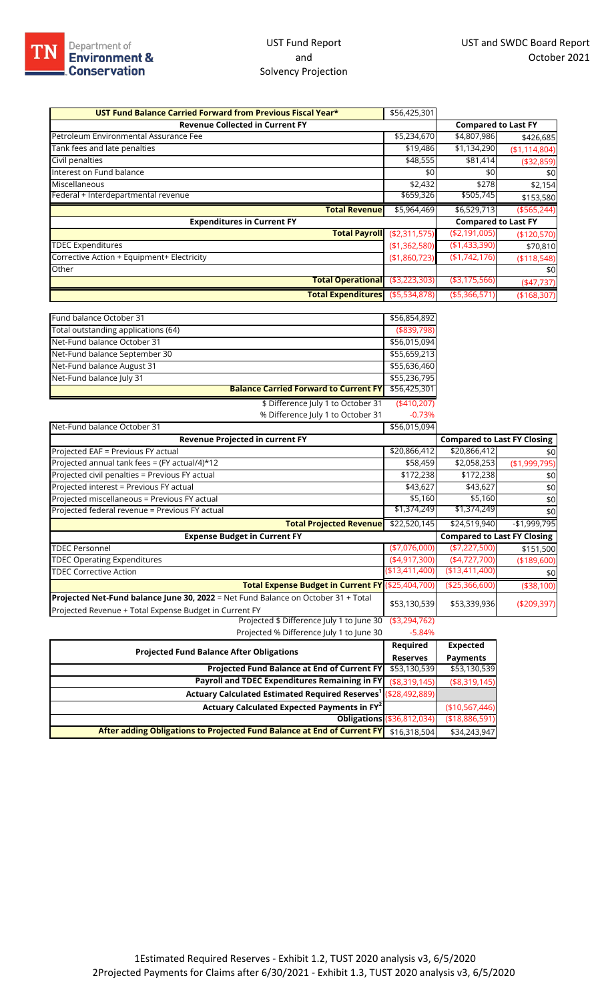## UST Fund Report and Solvency Projection

| UST Fund Balance Carried Forward from Previous Fiscal Year* | \$56,425,301   |                            |               |
|-------------------------------------------------------------|----------------|----------------------------|---------------|
| <b>Revenue Collected in Current FY</b>                      |                | <b>Compared to Last FY</b> |               |
| Petroleum Environmental Assurance Fee                       | \$5,234,670    | \$4,807,986                | \$426,685     |
| Tank fees and late penalties                                | \$19,486       | \$1,134,290                | (\$1,114,804) |
| Civil penalties                                             | \$48,555       | \$81,414                   | ( \$32, 859)  |
| Interest on Fund balance                                    | \$0            | \$0                        | \$0           |
| Miscellaneous                                               | \$2,432        | \$278                      | \$2,154       |
| Federal + Interdepartmental revenue                         | \$659,326      | \$505,745                  | \$153,580     |
| <b>Total Revenue</b>                                        | \$5,964,469    | \$6,529,713                | $(*565,244)$  |
| <b>Expenditures in Current FY</b>                           |                | <b>Compared to Last FY</b> |               |
| <b>Total Payroll</b>                                        | ( \$2,311,575) | ( \$2,191,005)             | (\$120,570)   |
| <b>TDEC Expenditures</b>                                    | ( \$1,362,580) | (\$1,433,390)              | \$70,810      |
| Corrective Action + Equipment+ Electricity                  | (\$1,860,723)  | (\$1,742,176)              | ( \$118,548)  |
| Other                                                       |                |                            | \$0           |
| <b>Total Operational</b>                                    | ( \$3,223,303) | ( \$3,175,566)             | (47,737)      |
| Total Expenditures (\$5,534,878)                            |                | ( \$5,366,571)             | (\$168,307)   |

| Fund balance October 31                                                                                                                     | \$56,854,892     |                                    |               |
|---------------------------------------------------------------------------------------------------------------------------------------------|------------------|------------------------------------|---------------|
| Total outstanding applications (64)                                                                                                         | (\$839,798)      |                                    |               |
| Net-Fund balance October 31                                                                                                                 | \$56,015,094     |                                    |               |
| Net-Fund balance September 30                                                                                                               | \$55,659,213     |                                    |               |
| Net-Fund balance August 31                                                                                                                  | \$55,636,460     |                                    |               |
| Net-Fund balance July 31                                                                                                                    | \$55,236,795     |                                    |               |
| <b>Balance Carried Forward to Current FY</b>                                                                                                | \$56,425,301     |                                    |               |
| \$ Difference July 1 to October 31                                                                                                          | (410,207)        |                                    |               |
| % Difference July 1 to October 31                                                                                                           | $-0.73%$         |                                    |               |
| Net-Fund balance October 31                                                                                                                 | \$56,015,094     |                                    |               |
| Revenue Projected in current FY                                                                                                             |                  | <b>Compared to Last FY Closing</b> |               |
| Projected EAF = Previous FY actual                                                                                                          | \$20,866,412     | \$20,866,412                       | \$0           |
| Projected annual tank fees = (FY actual/4)*12                                                                                               | \$58,459         | \$2,058,253                        | (\$1,999,795) |
| Projected civil penalties = Previous FY actual                                                                                              | \$172,238        | \$172,238                          | \$0           |
| Projected interest = Previous FY actual                                                                                                     | \$43,627         | \$43,627                           | \$0           |
| Projected miscellaneous = Previous FY actual                                                                                                | \$5,160          | \$5,160                            | \$0           |
| Projected federal revenue = Previous FY actual                                                                                              | \$1,374,249      | \$1,374,249                        | \$0           |
| <b>Total Projected Revenue</b>                                                                                                              | \$22,520,145     | \$24,519,940                       | $-$1,999,795$ |
| <b>Expense Budget in Current FY</b>                                                                                                         |                  | <b>Compared to Last FY Closing</b> |               |
| <b>TDEC Personnel</b>                                                                                                                       | (\$7,076,000)    | ( \$7,227,500)                     | \$151,500     |
| <b>TDEC Operating Expenditures</b>                                                                                                          | ( \$4, 917, 300) | $(*4,727,700)$                     | (\$189,600)   |
| <b>TDEC Corrective Action</b>                                                                                                               | ( \$13,411,400)  | ( \$13,411,400)                    | \$0           |
| Total Expense Budget in Current FY (\$25,404,700)                                                                                           |                  | (\$25,366,600)                     | (\$38,100)    |
| Projected Net-Fund balance June 30, 2022 = Net Fund Balance on October 31 + Total<br>Projected Revenue + Total Expense Budget in Current FY | \$53,130,539     | \$53,339,936                       | (\$209,397)   |
| Projected \$ Difference July 1 to June 30                                                                                                   | ( \$3,294,762)   |                                    |               |

Projected % Difference July 1 to June 30 -5.84%

| <b>Projected Fund Balance After Obligations</b>                                      |                                   | Expected        |
|--------------------------------------------------------------------------------------|-----------------------------------|-----------------|
|                                                                                      |                                   | <b>Payments</b> |
| Projected Fund Balance at End of Current FY                                          | \$53,130,539                      | \$53,130,539    |
| Payroll and TDEC Expenditures Remaining in FY                                        | (\$8,319,145)                     | ( \$8,319,145)  |
| Actuary Calculated Estimated Required Reserves <sup>1</sup> (\$28,492,889)           |                                   |                 |
| Actuary Calculated Expected Payments in FY <sup>2</sup>                              |                                   | (\$10,567,446)  |
|                                                                                      | <b>Obligations (\$36,812,034)</b> | ( \$18,886,591) |
| After adding Obligations to Projected Fund Balance at End of Current FY \$16,318,504 |                                   | \$34,243,947    |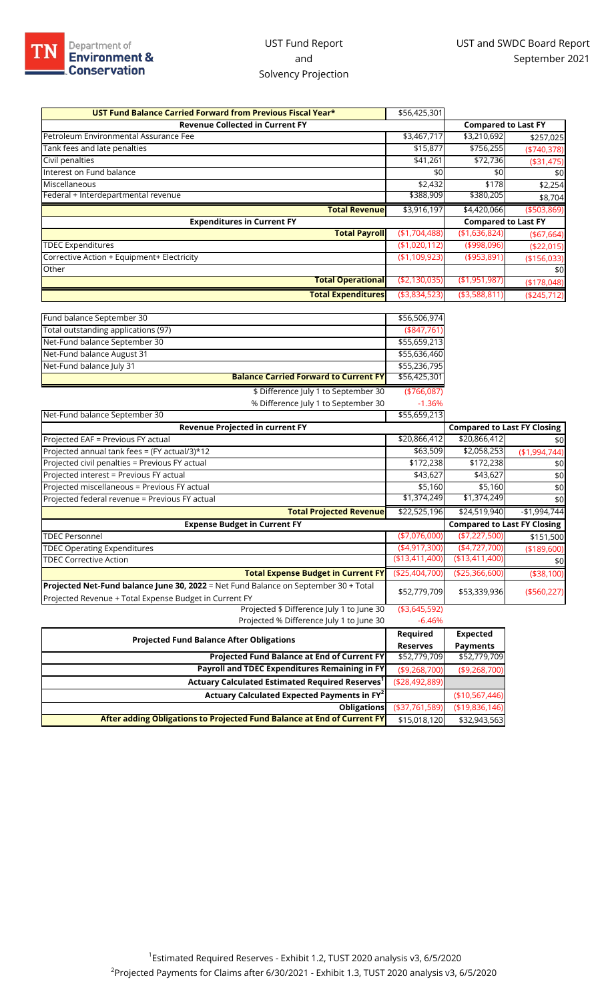## UST Fund Report and Solvency Projection

| UST Fund Balance Carried Forward from Previous Fiscal Year* | \$56,425,301   |                            |               |
|-------------------------------------------------------------|----------------|----------------------------|---------------|
| <b>Revenue Collected in Current FY</b>                      |                | <b>Compared to Last FY</b> |               |
| Petroleum Environmental Assurance Fee                       | \$3,467,717    | \$3,210,692                | \$257,025     |
| Tank fees and late penalties                                | \$15,877       | \$756,255                  | $(*740,378)$  |
| Civil penalties                                             | \$41,261       | \$72,736                   | ( \$31,475)   |
| Interest on Fund balance                                    | \$0            | \$0                        | \$0           |
| Miscellaneous                                               | \$2,432        | \$178                      | \$2,254       |
| Federal + Interdepartmental revenue                         | \$388,909      | \$380,205                  | \$8,704       |
| <b>Total Revenue</b>                                        | \$3,916,197    | \$4,420,066                | ( \$503, 869) |
| <b>Expenditures in Current FY</b>                           |                | <b>Compared to Last FY</b> |               |
| <b>Total Payroll</b>                                        | (\$1,704,488)  | (\$1,636,824)              | ( \$67,664)   |
| <b>TDEC Expenditures</b>                                    | (\$1,020,112)  | (\$998,096)                | (\$22,015)    |
| Corrective Action + Equipment+ Electricity                  | (\$1,109,923)  | ( \$953, 891)              | (\$156,033)   |
| Other                                                       |                |                            | \$0           |
| <b>Total Operational</b>                                    | ( \$2,130,035) | ( \$1,951,987)             | (\$178,048)   |
| <b>Total Expenditures</b>                                   | ( \$3,834,523) | ( \$3,588,811)             | ( \$245,712)  |
|                                                             |                |                            |               |
| Fund balance September 30                                   | \$56,506,974   |                            |               |
| Total outstanding applications (97)                         | (\$47,761)     |                            |               |
| Net-Fund balance September 30                               | \$55,659,213   |                            |               |
| Net-Fund balance August 31                                  | \$55,636,460   |                            |               |
| Net-Fund balance July 31                                    | \$55,236,795   |                            |               |
| <b>Balance Carried Forward to Current FY</b>                | \$56,425,301   |                            |               |
| \$ Difference July 1 to September 30                        | ( \$766,087)   |                            |               |

% Difference July 1 to September 30 -1.36%

|                 | \$20,866,412                              | \$0                                                                                                                                                                                                |
|-----------------|-------------------------------------------|----------------------------------------------------------------------------------------------------------------------------------------------------------------------------------------------------|
|                 | \$2,058,253                               | (\$1,994,744)                                                                                                                                                                                      |
|                 | \$172,238                                 | \$0                                                                                                                                                                                                |
| \$43,627        | \$43,627                                  | \$0                                                                                                                                                                                                |
|                 | \$5,160                                   | \$0                                                                                                                                                                                                |
|                 | \$1,374,249                               | \$0                                                                                                                                                                                                |
|                 | \$24,519,940                              | $-$1,994,744$                                                                                                                                                                                      |
|                 |                                           |                                                                                                                                                                                                    |
| $(*7,076,000)$  | (\$7,227,500)                             | \$151,500                                                                                                                                                                                          |
| (4,917,300)     | (4,727,700)                               | (\$189,600)                                                                                                                                                                                        |
| (\$13,411,400)  | ( \$13,411,400)                           | \$0                                                                                                                                                                                                |
| (\$25,404,700)  | (\$25,366,600)                            | (\$38,100)                                                                                                                                                                                         |
|                 | \$53,339,936                              | (\$560,227)                                                                                                                                                                                        |
|                 |                                           |                                                                                                                                                                                                    |
| $-6.46%$        |                                           |                                                                                                                                                                                                    |
| Required        | <b>Expected</b>                           |                                                                                                                                                                                                    |
| <b>Reserves</b> | <b>Payments</b>                           |                                                                                                                                                                                                    |
|                 | \$52,779,709                              |                                                                                                                                                                                                    |
| (\$9,268,700)   | ( \$9, 268, 700)                          |                                                                                                                                                                                                    |
|                 |                                           |                                                                                                                                                                                                    |
|                 | \$20,866,412<br>\$5,160<br>( \$3,645,592) | \$55,659,213<br><b>Compared to Last FY Closing</b><br>\$63,509<br>\$172,238<br>\$1,374,249<br>\$22,525,196<br><b>Compared to Last FY Closing</b><br>\$52,779,709<br>\$52,779,709<br>(\$28,492,889) |

| Actuary Calculated Expected Payments in FY <sup>2</sup>                 |                 | (\$10,567,446)  |
|-------------------------------------------------------------------------|-----------------|-----------------|
| <b>Obligations</b>                                                      | ( \$37,761,589] | ( \$19,836,146) |
| After adding Obligations to Projected Fund Balance at End of Current FY | \$15,018,120    | \$32,943,563    |
|                                                                         |                 |                 |
|                                                                         |                 |                 |
|                                                                         |                 |                 |
|                                                                         |                 |                 |
|                                                                         |                 |                 |
|                                                                         |                 |                 |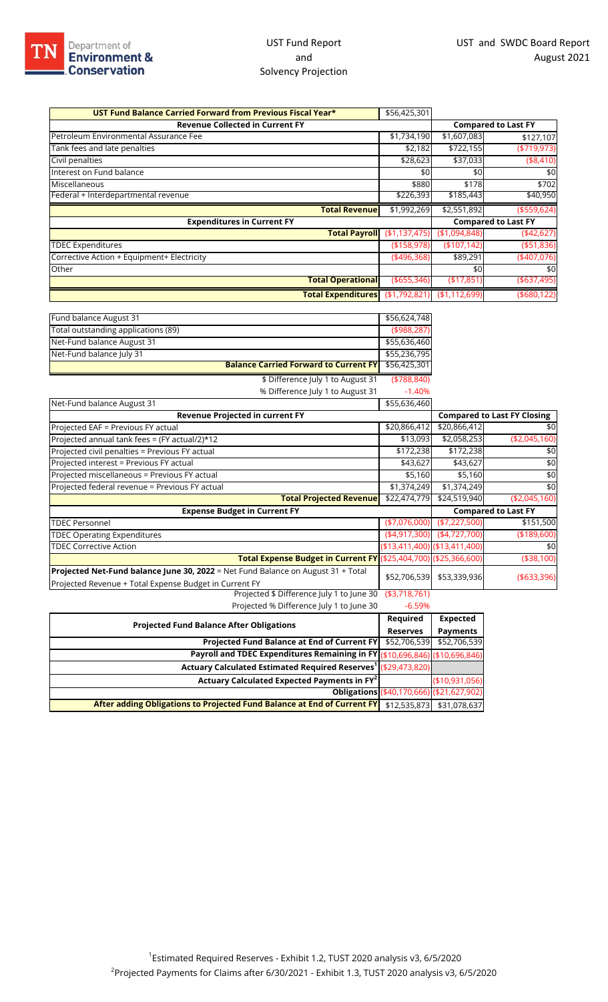## UST Fund Report and Solvency Projection

| UST Fund Balance Carried Forward from Previous Fiscal Year* | \$56,425,301  |                |                            |
|-------------------------------------------------------------|---------------|----------------|----------------------------|
| <b>Revenue Collected in Current FY</b>                      |               |                | <b>Compared to Last FY</b> |
| Petroleum Environmental Assurance Fee                       | \$1,734,190   | \$1,607,083    | \$127,107                  |
| Tank fees and late penalties                                | \$2,182       | \$722,155      | ( \$719, 973)              |
| Civil penalties                                             | \$28,623      | \$37,033       | (\$8,410)                  |
| Interest on Fund balance                                    | \$0           | \$0            | \$0                        |
| Miscellaneous                                               | \$880         | \$178          | \$702                      |
| Federal + Interdepartmental revenue                         | \$226,393     | \$185,443      | \$40,950                   |
| <b>Total Revenuel</b>                                       | \$1,992,269   | \$2,551,892    | ( \$559, 624)              |
| <b>Expenditures in Current FY</b>                           |               |                | <b>Compared to Last FY</b> |
| <b>Total Payroll</b>                                        | (\$1,137,475) | ( \$1,094,848) | (442, 627)                 |
| <b>TDEC Expenditures</b>                                    | ( \$158, 978) | (\$107,142)    | ( \$51, 836)               |
| Corrective Action + Equipment+ Electricity                  | (496,368)     | \$89,291       | (407,076)                  |
| Other                                                       |               | \$0            | \$0                        |
| <b>Total Operational</b>                                    | ( \$655, 346) | (\$17,851      | ( \$637,495)               |
| Total Expenditures (\$1,792,821) (\$1,112,699)              |               |                | ( \$680, 122)              |

| Fund balance August 31                                                           | \$56,624,748                  |                 |                                    |
|----------------------------------------------------------------------------------|-------------------------------|-----------------|------------------------------------|
| Total outstanding applications (89)                                              | ( \$988, 287)                 |                 |                                    |
| Net-Fund balance August 31                                                       | \$55,636,460                  |                 |                                    |
| Net-Fund balance July 31                                                         | \$55,236,795                  |                 |                                    |
| <b>Balance Carried Forward to Current FY</b>                                     | \$56,425,301                  |                 |                                    |
| \$ Difference July 1 to August 31                                                | ( \$788, 840)                 |                 |                                    |
| % Difference July 1 to August 31                                                 | $-1.40%$                      |                 |                                    |
| Net-Fund balance August 31                                                       | \$55,636,460                  |                 |                                    |
| Revenue Projected in current FY                                                  |                               |                 | <b>Compared to Last FY Closing</b> |
| Projected EAF = Previous FY actual                                               | \$20,866,412                  | \$20,866,412    | \$0                                |
| Projected annual tank fees = (FY actual/2)*12                                    | \$13,093                      | \$2,058,253     | (\$2,045,160)                      |
| Projected civil penalties = Previous FY actual                                   | \$172,238                     | \$172,238       | \$0                                |
| Projected interest = Previous FY actual                                          | \$43,627                      | \$43,627        | \$0                                |
| Projected miscellaneous = Previous FY actual                                     | \$5,160                       | \$5,160         | \$0                                |
| Projected federal revenue = Previous FY actual                                   | \$1,374,249                   | \$1,374,249     | \$0                                |
| <b>Total Projected Revenue</b>                                                   | \$22,474,779                  | \$24,519,940    | (\$2,045,160)                      |
| <b>Expense Budget in Current FY</b>                                              |                               |                 | <b>Compared to Last FY</b>         |
| <b>TDEC Personnel</b>                                                            | $(*7,076,000)$                | ( \$7,227,500)  | \$151,500                          |
| <b>TDEC Operating Expenditures</b>                                               | $(*4,917,300)$                | (4,727,700)     | ( \$189, 600)                      |
| <b>TDEC Corrective Action</b>                                                    | (\$13,411,400) (\$13,411,400) |                 | \$0                                |
| Total Expense Budget in Current FY (\$25,404,700) (\$25,366,600)                 |                               |                 | (\$38,100)                         |
| Projected Net-Fund balance June 30, 2022 = Net Fund Balance on August 31 + Total | \$52,706,539                  | \$53,339,936    |                                    |
| Projected Revenue + Total Expense Budget in Current FY                           |                               |                 | ( \$633, 396)                      |
| Projected \$ Difference July 1 to June 30                                        | ( \$3,718,761)                |                 |                                    |
| Projected % Difference July 1 to June 30                                         | $-6.59%$                      |                 |                                    |
|                                                                                  | Required                      | <b>Expected</b> |                                    |
| <b>Projected Fund Balance After Obligations</b>                                  | Dacaruac                      | <b>Daymontc</b> |                                    |

| <b>Projected Fund Balance After Obligations</b>                                                   |                                           | <b>Expected</b> |
|---------------------------------------------------------------------------------------------------|-------------------------------------------|-----------------|
|                                                                                                   |                                           | <b>Payments</b> |
| <b>Projected Fund Balance at End of Current FY</b> \$52,706,539 \$52,706,539                      |                                           |                 |
| Payroll and TDEC Expenditures Remaining in FY (\$10,696,846) (\$10,696,846)                       |                                           |                 |
| Actuary Calculated Estimated Required Reserves <sup>1</sup> (\$29,473,820)                        |                                           |                 |
| Actuary Calculated Expected Payments in FY <sup>2</sup>                                           |                                           | (\$10,931,056)  |
|                                                                                                   | Obligations (\$40,170,666) (\$21,627,902) |                 |
| After adding Obligations to Projected Fund Balance at End of Current FY \$12,535,873 \$31,078,637 |                                           |                 |